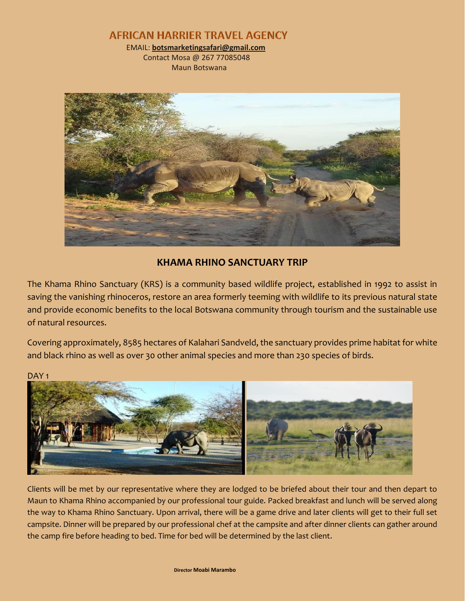**AFRICAN HARRIER TRAVEL AGENCY** 

 EMAIL: **botsmarketingsafari@gmail.com** Contact Mosa @ 267 77085048

Maun Botswana



## **KHAMA RHINO SANCTUARY TRIP**

The Khama Rhino Sanctuary (KRS) is a community based wildlife project, established in 1992 to assist in saving the vanishing rhinoceros, restore an area formerly teeming with wildlife to its previous natural state and provide economic benefits to the local Botswana community through tourism and the sustainable use of natural resources.

Covering approximately, 8585 hectares of Kalahari Sandveld, the sanctuary provides prime habitat for white and black rhino as well as over 30 other animal species and more than 230 species of birds.

DAY<sub>1</sub>



Clients will be met by our representative where they are lodged to be briefed about their tour and then depart to Maun to Khama Rhino accompanied by our professional tour guide. Packed breakfast and lunch will be served along the way to Khama Rhino Sanctuary. Upon arrival, there will be a game drive and later clients will get to their full set campsite. Dinner will be prepared by our professional chef at the campsite and after dinner clients can gather around the camp fire before heading to bed. Time for bed will be determined by the last client.